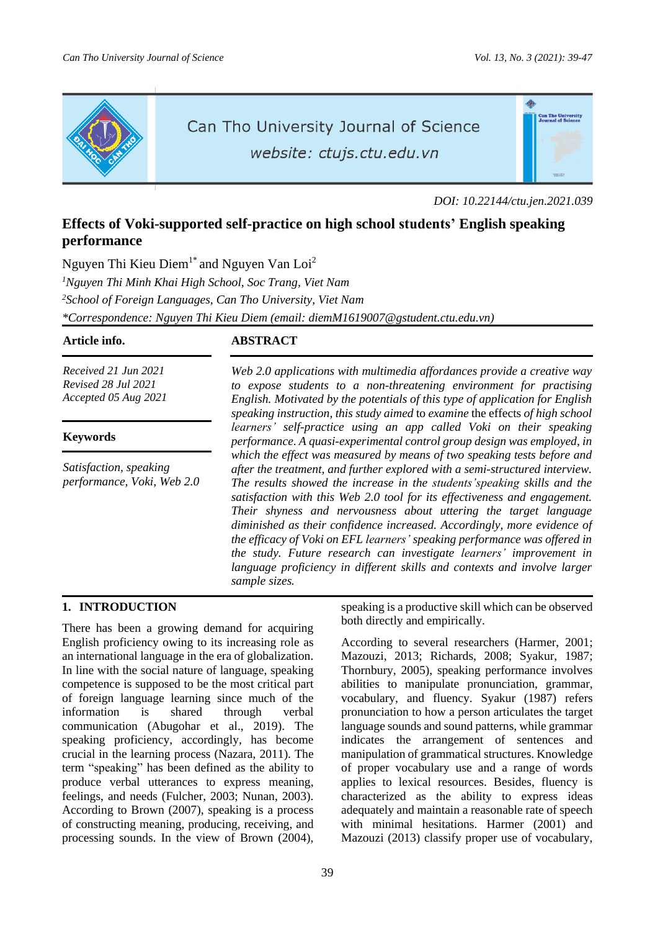௸

ea<mark>n Tho Universit</mark><br>Journal of Science



# Can Tho University Journal of Science website: ctujs.ctu.edu.vn

*DOI: 10.22144/ctu.jen.2021.039*

# **Effects of Voki-supported self-practice on high school students' English speaking performance**

Nguyen Thi Kieu Diem<sup>1\*</sup> and Nguyen Van Loi<sup>2</sup> *<sup>1</sup>Nguyen Thi Minh Khai High School, Soc Trang, Viet Nam <sup>2</sup>School of Foreign Languages, Can Tho University, Viet Nam \*Correspondence: Nguyen Thi Kieu Diem (email: diemM1619007@gstudent.ctu.edu.vn)*

# **Article info. ABSTRACT**

*Received 21 Jun 2021 Revised 28 Jul 2021 Accepted 05 Aug 2021*

# **Keywords**

*Satisfaction, speaking performance, Voki, Web 2.0*

*Web 2.0 applications with multimedia affordances provide a creative way to expose students to a non-threatening environment for practising English. Motivated by the potentials of this type of application for English speaking instruction, this study aimed* to *examine* the effects *of high school learners' self-practice using an app called Voki on their speaking performance*. *A quasi-experimental control group design was employed, in which the effect was measured by means of two speaking tests before and after the treatment, and further explored with a semi-structured interview. The results showed the increase in the students'speaking skills and the satisfaction with this Web 2.0 tool for its effectiveness and engagement. Their shyness and nervousness about uttering the target language diminished as their confidence increased. Accordingly, more evidence of the efficacy of Voki on EFL learners' speaking performance was offered in the study. Future research can investigate learners' improvement in language proficiency in different skills and contexts and involve larger sample sizes.*

# **1. INTRODUCTION**

There has been a growing demand for acquiring English proficiency owing to its increasing role as an international language in the era of globalization. In line with the social nature of language, speaking competence is supposed to be the most critical part of foreign language learning since much of the information is shared through verbal communication (Abugohar et al., 2019). The speaking proficiency, accordingly, has become crucial in the learning process (Nazara, 2011). The term "speaking" has been defined as the ability to produce verbal utterances to express meaning, feelings, and needs (Fulcher, 2003; Nunan, 2003). According to Brown (2007), speaking is a process of constructing meaning, producing, receiving, and processing sounds. In the view of Brown (2004),

speaking is a productive skill which can be observed both directly and empirically.

According to several researchers (Harmer, 2001; Mazouzi, 2013; Richards, 2008; Syakur, 1987; Thornbury, 2005), speaking performance involves abilities to manipulate pronunciation, grammar, vocabulary, and fluency. Syakur (1987) refers pronunciation to how a person articulates the target language sounds and sound patterns, while grammar indicates the arrangement of sentences and manipulation of grammatical structures. Knowledge of proper vocabulary use and a range of words applies to lexical resources. Besides, fluency is characterized as the ability to express ideas adequately and maintain a reasonable rate of speech with minimal hesitations. Harmer (2001) and Mazouzi (2013) classify proper use of vocabulary,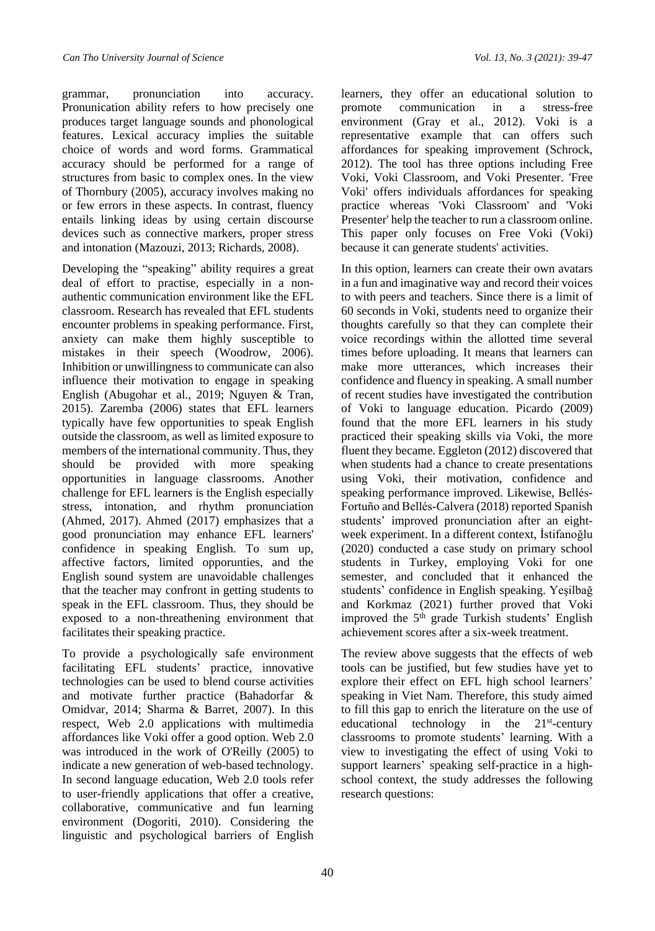grammar, pronunciation into accuracy. Pronunication ability refers to how precisely one produces target language sounds and phonological features. Lexical accuracy implies the suitable choice of words and word forms. Grammatical accuracy should be performed for a range of structures from basic to complex ones. In the view of Thornbury (2005), accuracy involves making no or few errors in these aspects. In contrast, fluency entails linking ideas by using certain discourse devices such as connective markers, proper stress and intonation (Mazouzi, 2013; Richards, 2008).

Developing the "speaking" ability requires a great deal of effort to practise, especially in a nonauthentic communication environment like the EFL classroom. Research has revealed that EFL students encounter problems in speaking performance. First, anxiety can make them highly susceptible to mistakes in their speech (Woodrow, 2006). Inhibition or unwillingness to communicate can also influence their motivation to engage in speaking English (Abugohar et al., 2019; Nguyen & Tran, 2015). Zaremba (2006) states that EFL learners typically have few opportunities to speak English outside the classroom, as well as limited exposure to members of the international community. Thus, they should be provided with more speaking opportunities in language classrooms. Another challenge for EFL learners is the English especially stress, intonation, and rhythm pronunciation (Ahmed, 2017). Ahmed (2017) emphasizes that a good pronunciation may enhance EFL learners' confidence in speaking English. To sum up, affective factors, limited opporunties, and the English sound system are unavoidable challenges that the teacher may confront in getting students to speak in the EFL classroom. Thus, they should be exposed to a non-threathening environment that facilitates their speaking practice.

To provide a psychologically safe environment facilitating EFL students' practice, innovative technologies can be used to blend course activities and motivate further practice (Bahadorfar & Omidvar, 2014; Sharma & Barret, 2007). In this respect, Web 2.0 applications with multimedia affordances like Voki offer a good option. Web 2.0 was introduced in the work of O'Reilly (2005) to indicate a new generation of web-based technology. In second language education, Web 2.0 tools refer to user-friendly applications that offer a creative, collaborative, communicative and fun learning environment (Dogoriti, 2010). Considering the linguistic and psychological barriers of English

learners, they offer an educational solution to promote communication in a stress-free environment (Gray et al., 2012). Voki is a representative example that can offers such affordances for speaking improvement (Schrock, 2012). The tool has three options including Free Voki, Voki Classroom, and Voki Presenter. 'Free Voki' offers individuals affordances for speaking practice whereas 'Voki Classroom' and 'Voki Presenter' help the teacher to run a classroom online. This paper only focuses on Free Voki (Voki) because it can generate students' activities.

In this option, learners can create their own avatars in a fun and imaginative way and record their voices to with peers and teachers. Since there is a limit of 60 seconds in Voki, students need to organize their thoughts carefully so that they can complete their voice recordings within the allotted time several times before uploading. It means that learners can make more utterances, which increases their confidence and fluency in speaking. A small number of recent studies have investigated the contribution of Voki to language education. Picardo (2009) found that the more EFL learners in his study practiced their speaking skills via Voki, the more fluent they became. Eggleton (2012) discovered that when students had a chance to create presentations using Voki, their motivation, confidence and speaking performance improved. Likewise, Bellés-Fortuño and Bellés-Calvera (2018) reported Spanish students' improved pronunciation after an eightweek experiment. In a different context, İstifanoğlu (2020) conducted a case study on primary school students in Turkey, employing Voki for one semester, and concluded that it enhanced the students' confidence in English speaking. Yeşilbağ and Korkmaz (2021) further proved that Voki improved the 5<sup>th</sup> grade Turkish students' English achievement scores after a six-week treatment.

The review above suggests that the effects of web tools can be justified, but few studies have yet to explore their effect on EFL high school learners' speaking in Viet Nam. Therefore, this study aimed to fill this gap to enrich the literature on the use of educational technology in the 21<sup>st</sup>-century classrooms to promote students' learning. With a view to investigating the effect of using Voki to support learners' speaking self-practice in a highschool context, the study addresses the following research questions: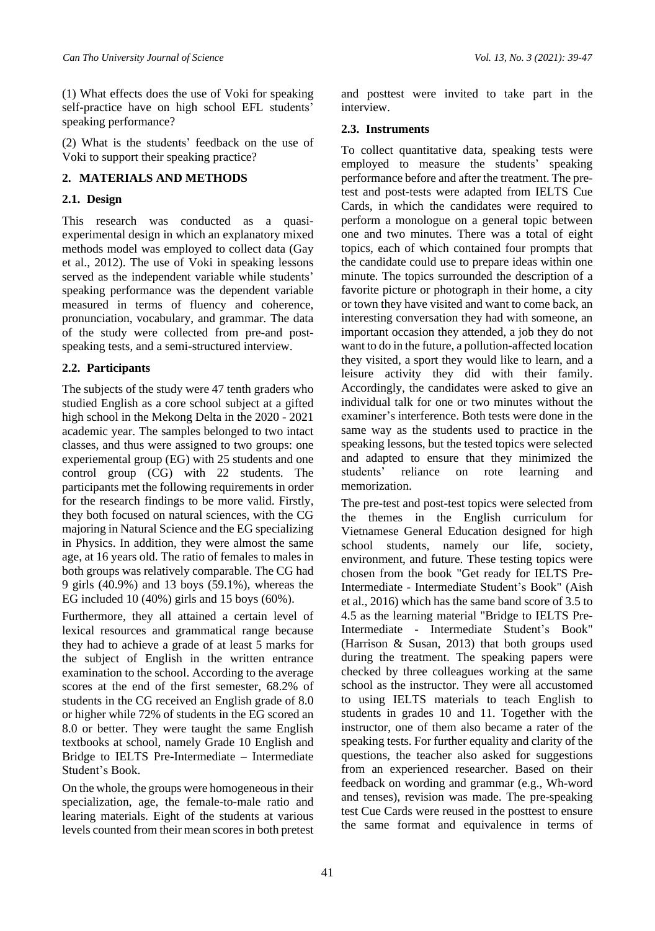(1) What effects does the use of Voki for speaking self-practice have on high school EFL students' speaking performance?

(2) What is the students' feedback on the use of Voki to support their speaking practice?

# **2. MATERIALS AND METHODS**

# **2.1. Design**

This research was conducted as a quasiexperimental design in which an explanatory mixed methods model was employed to collect data (Gay et al., 2012). The use of Voki in speaking lessons served as the independent variable while students' speaking performance was the dependent variable measured in terms of fluency and coherence, pronunciation, vocabulary, and grammar. The data of the study were collected from pre-and postspeaking tests, and a semi-structured interview.

# **2.2. Participants**

The subjects of the study were 47 tenth graders who studied English as a core school subject at a gifted high school in the Mekong Delta in the 2020 - 2021 academic year. The samples belonged to two intact classes, and thus were assigned to two groups: one experiemental group (EG) with 25 students and one control group (CG) with 22 students. The participants met the following requirements in order for the research findings to be more valid. Firstly, they both focused on natural sciences, with the CG majoring in Natural Science and the EG specializing in Physics. In addition, they were almost the same age, at 16 years old. The ratio of females to males in both groups was relatively comparable. The CG had 9 girls (40.9%) and 13 boys (59.1%), whereas the EG included 10 (40%) girls and 15 boys (60%).

Furthermore, they all attained a certain level of lexical resources and grammatical range because they had to achieve a grade of at least 5 marks for the subject of English in the written entrance examination to the school. According to the average scores at the end of the first semester, 68.2% of students in the CG received an English grade of 8.0 or higher while 72% of students in the EG scored an 8.0 or better. They were taught the same English textbooks at school, namely Grade 10 English and Bridge to IELTS Pre-Intermediate – Intermediate Student's Book.

On the whole, the groups were homogeneousin their specialization, age, the female-to-male ratio and learing materials. Eight of the students at various levels counted from their mean scoresin both pretest and posttest were invited to take part in the interview.

# **2.3. Instruments**

To collect quantitative data, speaking tests were employed to measure the students' speaking performance before and after the treatment. The pretest and post-tests were adapted from IELTS Cue Cards, in which the candidates were required to perform a monologue on a general topic between one and two minutes. There was a total of eight topics, each of which contained four prompts that the candidate could use to prepare ideas within one minute. The topics surrounded the description of a favorite picture or photograph in their home, a city or town they have visited and want to come back, an interesting conversation they had with someone, an important occasion they attended, a job they do not want to do in the future, a pollution-affected location they visited, a sport they would like to learn, and a leisure activity they did with their family. Accordingly, the candidates were asked to give an individual talk for one or two minutes without the examiner's interference. Both tests were done in the same way as the students used to practice in the speaking lessons, but the tested topics were selected and adapted to ensure that they minimized the students' reliance on rote learning and memorization.

The pre-test and post-test topics were selected from the themes in the English curriculum for Vietnamese General Education designed for high school students, namely our life, society, environment, and future. These testing topics were chosen from the book "Get ready for IELTS Pre-Intermediate - Intermediate Student's Book" (Aish et al., 2016) which has the same band score of 3.5 to 4.5 as the learning material "Bridge to IELTS Pre-Intermediate - Intermediate Student's Book" (Harrison & Susan, 2013) that both groups used during the treatment. The speaking papers were checked by three colleagues working at the same school as the instructor. They were all accustomed to using IELTS materials to teach English to students in grades 10 and 11. Together with the instructor, one of them also became a rater of the speaking tests. For further equality and clarity of the questions, the teacher also asked for suggestions from an experienced researcher. Based on their feedback on wording and grammar (e.g., Wh-word and tenses), revision was made. The pre-speaking test Cue Cards were reused in the posttest to ensure the same format and equivalence in terms of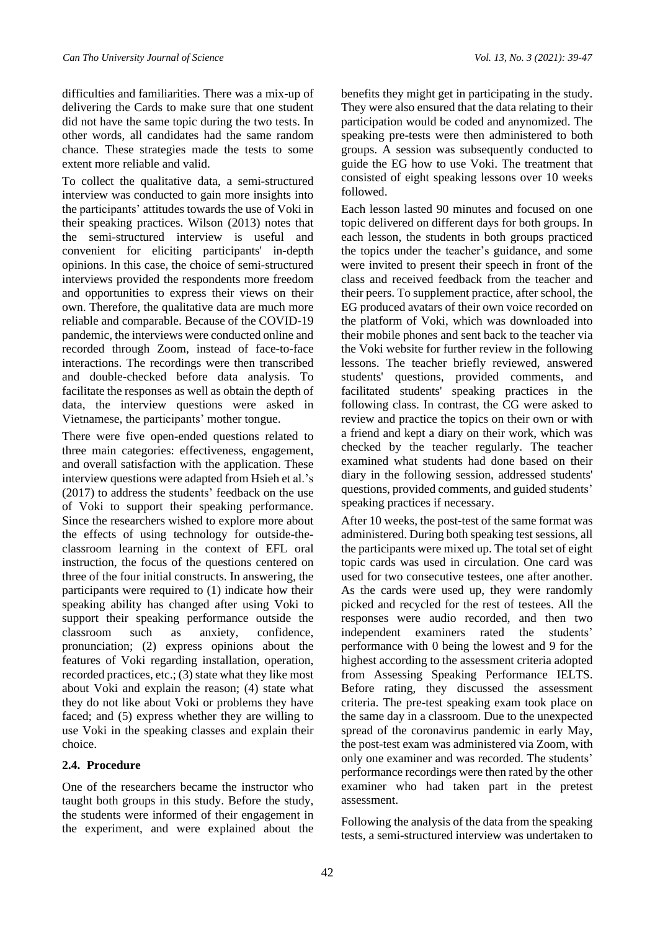difficulties and familiarities. There was a mix-up of delivering the Cards to make sure that one student did not have the same topic during the two tests. In other words, all candidates had the same random chance. These strategies made the tests to some extent more reliable and valid.

To collect the qualitative data, a semi-structured interview was conducted to gain more insights into the participants' attitudes towards the use of Voki in their speaking practices. Wilson (2013) notes that the semi-structured interview is useful and convenient for eliciting participants' in-depth opinions. In this case, the choice of semi-structured interviews provided the respondents more freedom and opportunities to express their views on their own. Therefore, the qualitative data are much more reliable and comparable. Because of the COVID-19 pandemic, the interviews were conducted online and recorded through Zoom, instead of face-to-face interactions. The recordings were then transcribed and double-checked before data analysis. To facilitate the responses as well as obtain the depth of data, the interview questions were asked in Vietnamese, the participants' mother tongue.

There were five open-ended questions related to three main categories: effectiveness, engagement, and overall satisfaction with the application. These interview questions were adapted from Hsieh et al.'s (2017) to address the students' feedback on the use of Voki to support their speaking performance. Since the researchers wished to explore more about the effects of using technology for outside-theclassroom learning in the context of EFL oral instruction, the focus of the questions centered on three of the four initial constructs. In answering, the participants were required to (1) indicate how their speaking ability has changed after using Voki to support their speaking performance outside the classroom such as anxiety, confidence, pronunciation; (2) express opinions about the features of Voki regarding installation, operation, recorded practices, etc.; (3) state what they like most about Voki and explain the reason; (4) state what they do not like about Voki or problems they have faced; and (5) express whether they are willing to use Voki in the speaking classes and explain their choice.

### **2.4. Procedure**

One of the researchers became the instructor who taught both groups in this study. Before the study, the students were informed of their engagement in the experiment, and were explained about the

benefits they might get in participating in the study. They were also ensured that the data relating to their participation would be coded and anynomized. The speaking pre-tests were then administered to both groups. A session was subsequently conducted to guide the EG how to use Voki. The treatment that consisted of eight speaking lessons over 10 weeks followed.

Each lesson lasted 90 minutes and focused on one topic delivered on different days for both groups. In each lesson, the students in both groups practiced the topics under the teacher's guidance, and some were invited to present their speech in front of the class and received feedback from the teacher and their peers. To supplement practice, after school, the EG produced avatars of their own voice recorded on the platform of Voki, which was downloaded into their mobile phones and sent back to the teacher via the Voki website for further review in the following lessons. The teacher briefly reviewed, answered students' questions, provided comments, and facilitated students' speaking practices in the following class. In contrast, the CG were asked to review and practice the topics on their own or with a friend and kept a diary on their work, which was checked by the teacher regularly. The teacher examined what students had done based on their diary in the following session, addressed students' questions, provided comments, and guided students' speaking practices if necessary.

After 10 weeks, the post-test of the same format was administered. During both speaking test sessions, all the participants were mixed up. The total set of eight topic cards was used in circulation. One card was used for two consecutive testees, one after another. As the cards were used up, they were randomly picked and recycled for the rest of testees. All the responses were audio recorded, and then two independent examiners rated the students' performance with 0 being the lowest and 9 for the highest according to the assessment criteria adopted from Assessing Speaking Performance IELTS. Before rating, they discussed the assessment criteria. The pre-test speaking exam took place on the same day in a classroom. Due to the unexpected spread of the coronavirus pandemic in early May, the post-test exam was administered via Zoom, with only one examiner and was recorded. The students' performance recordings were then rated by the other examiner who had taken part in the pretest assessment.

Following the analysis of the data from the speaking tests, a semi-structured interview was undertaken to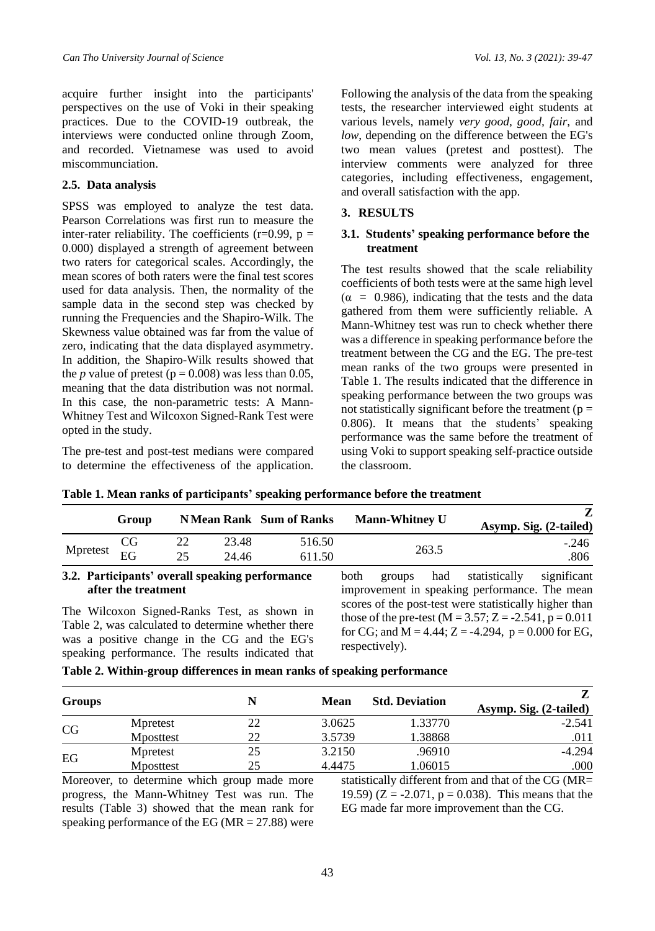acquire further insight into the participants' perspectives on the use of Voki in their speaking practices. Due to the COVID-19 outbreak, the interviews were conducted online through Zoom, and recorded. Vietnamese was used to avoid miscommunciation.

#### **2.5. Data analysis**

SPSS was employed to analyze the test data. Pearson Correlations was first run to measure the inter-rater reliability. The coefficients ( $r=0.99$ ,  $p=$ 0.000) displayed a strength of agreement between two raters for categorical scales. Accordingly, the mean scores of both raters were the final test scores used for data analysis. Then, the normality of the sample data in the second step was checked by running the Frequencies and the Shapiro-Wilk. The Skewness value obtained was far from the value of zero, indicating that the data displayed asymmetry. In addition, the Shapiro-Wilk results showed that the *p* value of pretest ( $p = 0.008$ ) was less than 0.05, meaning that the data distribution was not normal. In this case, the non-parametric tests: A Mann-Whitney Test and Wilcoxon Signed-Rank Test were opted in the study.

The pre-test and post-test medians were compared to determine the effectiveness of the application.

Following the analysis of the data from the speaking tests, the researcher interviewed eight students at various levels, namely *very good, good, fair*, and *low*, depending on the difference between the EG's two mean values (pretest and posttest). The interview comments were analyzed for three categories, including effectiveness, engagement, and overall satisfaction with the app.

## **3. RESULTS**

#### **3.1. Students' speaking performance before the treatment**

The test results showed that the scale reliability coefficients of both tests were at the same high level  $(\alpha = 0.986)$ , indicating that the tests and the data gathered from them were sufficiently reliable. A Mann-Whitney test was run to check whether there was a difference in speaking performance before the treatment between the CG and the EG. The pre-test mean ranks of the two groups were presented in Table 1. The results indicated that the difference in speaking performance between the two groups was not statistically significant before the treatment ( $p =$ 0.806). It means that the students' speaking performance was the same before the treatment of using Voki to support speaking self-practice outside the classroom.

|                                                                                                                                                                                                                                                                                                                                                                                 | Group    |          |                | <b>NMean Rank Sum of Ranks</b> |                                                                                                                                                                                               | <b>Mann-Whitney U</b> |                   | Z.<br>Asymp. Sig. (2-tailed) |  |
|---------------------------------------------------------------------------------------------------------------------------------------------------------------------------------------------------------------------------------------------------------------------------------------------------------------------------------------------------------------------------------|----------|----------|----------------|--------------------------------|-----------------------------------------------------------------------------------------------------------------------------------------------------------------------------------------------|-----------------------|-------------------|------------------------------|--|
| Mpretest                                                                                                                                                                                                                                                                                                                                                                        | CG<br>EG | 22<br>25 | 23.48<br>24.46 | 516.50<br>611.50               |                                                                                                                                                                                               | 263.5                 |                   | $-.246$<br>.806              |  |
| 3.2. Participants' overall speaking performance<br>after the treatment                                                                                                                                                                                                                                                                                                          |          |          |                |                                | both<br>groups<br>improvement in speaking performance. The mean                                                                                                                               |                       | had statistically | significant                  |  |
| The Wilcoxon Signed-Ranks Test, as shown in<br>Table 2, was calculated to determine whether there<br>was a positive change in the CG and the EG's<br>in a set of the company of the company of the company of the company of the company of the company of the company of the company of the company of the company of the company of the company of the company of the company |          |          |                |                                | scores of the post-test were statistically higher than<br>those of the pre-test ( $M = 3.57$ ; Z = -2.541, p = 0.011<br>for CG; and M = 4.44; Z = -4.294, p = 0.000 for EG,<br>respectively). |                       |                   |                              |  |

**Table 1. Mean ranks of participants' speaking performance before the treatment**

**Table 2. Within-group differences in mean ranks of speaking performance**

| <b>Groups</b> |           |    | <b>Mean</b> | <b>Std. Deviation</b> | Asymp. Sig. (2-tailed) |
|---------------|-----------|----|-------------|-----------------------|------------------------|
| CG            | Mpretest  | 22 | 3.0625      | 1.33770               | $-2.541$               |
|               | Mposttest | 22 | 3.5739      | 1.38868               | .011                   |
| EG            | Mpretest  | 25 | 3.2150      | .96910                | $-4.294$               |
|               | Mposttest | 25 | 4.4475      | 1.06015               | .000                   |

Moreover, to determine which group made more progress, the Mann-Whitney Test was run. The results (Table 3) showed that the mean rank for speaking performance of the EG ( $MR = 27.88$ ) were

speaking performance. The results indicated that

statistically different from and that of the CG (MR= 19.59) ( $Z = -2.071$ ,  $p = 0.038$ ). This means that the EG made far more improvement than the CG.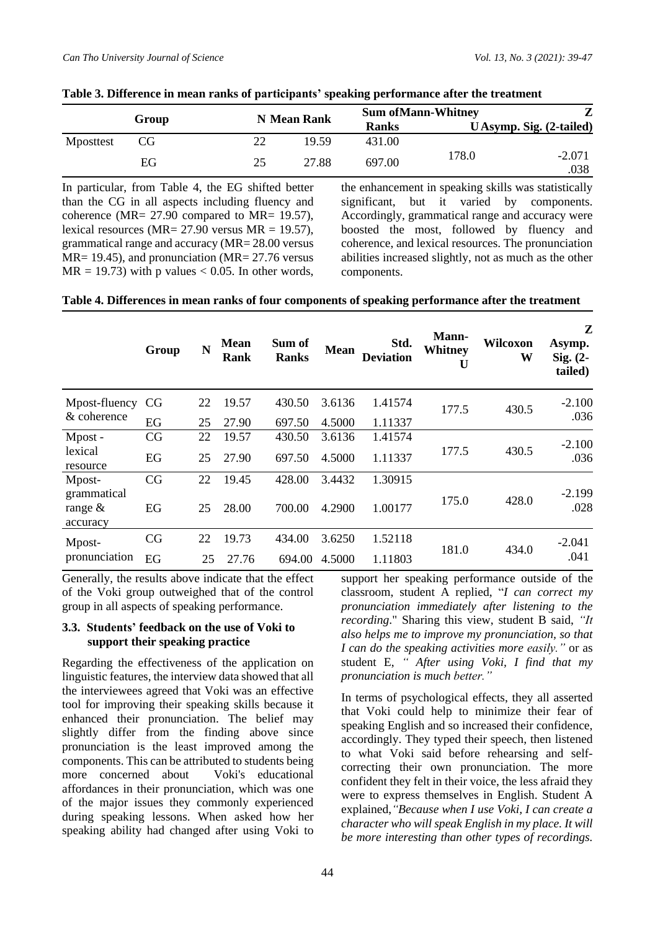|           |    |    | N Mean Rank |              | <b>Sum of Mann-Whitney</b> |                          |  |
|-----------|----|----|-------------|--------------|----------------------------|--------------------------|--|
| Group     |    |    |             | <b>Ranks</b> |                            | U Asymp. Sig. (2-tailed) |  |
| Mposttest | CG |    | 19.59       | 431.00       |                            |                          |  |
|           | EG | 25 | 27.88       | 697.00       | 178.0                      | $-2.071$<br>.038         |  |

#### **Table 3. Difference in mean ranks of participants' speaking performance after the treatment**

In particular, from Table 4, the EG shifted better than the CG in all aspects including fluency and coherence (MR= 27.90 compared to MR= 19.57), lexical resources (MR=  $27.90$  versus MR = 19.57), grammatical range and accuracy (MR= 28.00 versus MR= 19.45), and pronunciation (MR= 27.76 versus  $MR = 19.73$ ) with p values < 0.05. In other words, the enhancement in speaking skills was statistically significant, but it varied by components. Accordingly, grammatical range and accuracy were boosted the most, followed by fluency and coherence, and lexical resources. The pronunciation abilities increased slightly, not as much as the other components.

#### **Table 4. Differences in mean ranks of four components of speaking performance after the treatment**

|                                       | Group | N  | <b>Mean</b><br>Rank | Sum of<br><b>Ranks</b> | <b>Mean</b> | Std.<br><b>Deviation</b> | <b>Mann-</b><br>Whitney<br>U | Wilcoxon<br>W | Z<br>Asymp.<br>Sig. $(2-$<br>tailed) |
|---------------------------------------|-------|----|---------------------|------------------------|-------------|--------------------------|------------------------------|---------------|--------------------------------------|
| Mpost-fluency                         | CG    | 22 | 19.57               | 430.50                 | 3.6136      | 1.41574                  | 177.5                        | 430.5         | $-2.100$<br>.036                     |
| & coherence                           | EG    | 25 | 27.90               | 697.50                 | 4.5000      | 1.11337                  |                              |               |                                      |
| Mpost-                                | CG    | 22 | 19.57               | 430.50                 | 3.6136      | 1.41574                  | 177.5                        | 430.5         | $-2.100$                             |
| lexical<br>resource                   | EG    | 25 | 27.90               | 697.50                 | 4.5000      | 1.11337                  |                              |               | .036                                 |
| Mpost-                                | CG    | 22 | 19.45               | 428.00                 | 3.4432      | 1.30915                  | 175.0                        | 428.0         | $-2.199$<br>.028                     |
| grammatical<br>range $\&$<br>accuracy | EG    | 25 | 28.00               | 700.00                 | 4.2900      | 1.00177                  |                              |               |                                      |
| Mpost-                                | CG    | 22 | 19.73               | 434.00                 | 3.6250      | 1.52118                  | 181.0                        | 434.0         | $-2.041$                             |
| pronunciation                         | EG    | 25 | 27.76               | 694.00                 | 4.5000      | 1.11803                  |                              |               | .041                                 |

Generally, the results above indicate that the effect of the Voki group outweighed that of the control group in all aspects of speaking performance.

#### **3.3. Students' feedback on the use of Voki to support their speaking practice**

Regarding the effectiveness of the application on linguistic features, the interview data showed that all the interviewees agreed that Voki was an effective tool for improving their speaking skills because it enhanced their pronunciation. The belief may slightly differ from the finding above since pronunciation is the least improved among the components. This can be attributed to students being more concerned about Voki's educational affordances in their pronunciation, which was one of the major issues they commonly experienced during speaking lessons. When asked how her speaking ability had changed after using Voki to support her speaking performance outside of the classroom, student A replied, "*I can correct my pronunciation immediately after listening to the recording*." Sharing this view, student B said, *"It also helps me to improve my pronunciation, so that I can do the speaking activities more easily."* or as student E, *" After using Voki, I find that my pronunciation is much better."*

In terms of psychological effects, they all asserted that Voki could help to minimize their fear of speaking English and so increased their confidence, accordingly. They typed their speech, then listened to what Voki said before rehearsing and selfcorrecting their own pronunciation. The more confident they felt in their voice, the less afraid they were to express themselves in English. Student A explained,*"Because when I use Voki, I can create a character who will speak English in my place. It will be more interesting than other types of recordings.*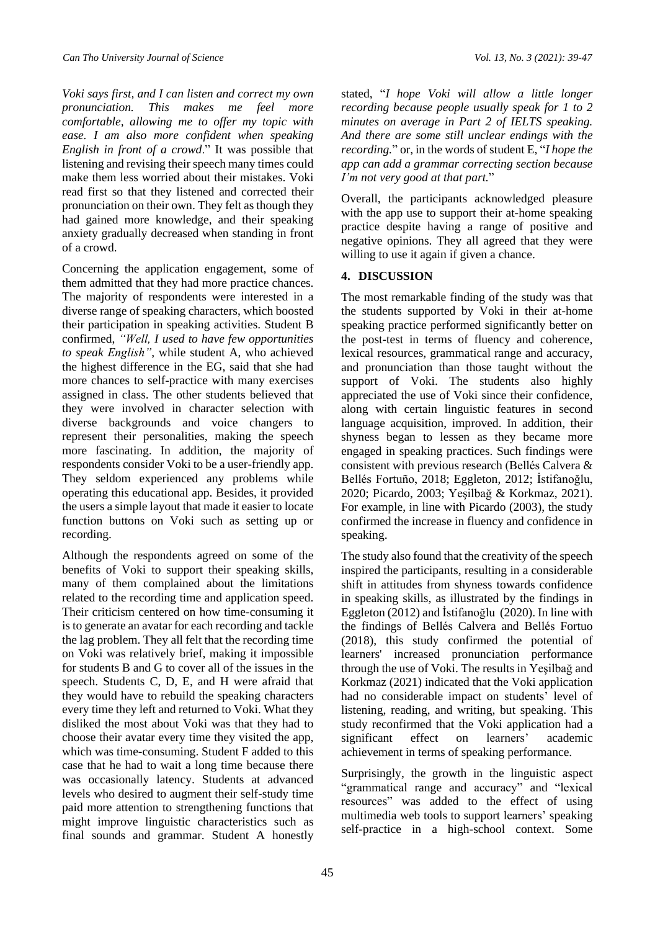*Voki says first, and I can listen and correct my own pronunciation. This makes me feel more comfortable, allowing me to offer my topic with ease. I am also more confident when speaking English in front of a crowd*." It was possible that listening and revising their speech many times could make them less worried about their mistakes. Voki read first so that they listened and corrected their pronunciation on their own. They felt as though they had gained more knowledge, and their speaking anxiety gradually decreased when standing in front of a crowd.

Concerning the application engagement, some of them admitted that they had more practice chances. The majority of respondents were interested in a diverse range of speaking characters, which boosted their participation in speaking activities. Student B confirmed, *"Well, I used to have few opportunities to speak English"*, while student A, who achieved the highest difference in the EG, said that she had more chances to self-practice with many exercises assigned in class. The other students believed that they were involved in character selection with diverse backgrounds and voice changers to represent their personalities, making the speech more fascinating. In addition, the majority of respondents consider Voki to be a user-friendly app. They seldom experienced any problems while operating this educational app. Besides, it provided the users a simple layout that made it easier to locate function buttons on Voki such as setting up or recording.

Although the respondents agreed on some of the benefits of Voki to support their speaking skills, many of them complained about the limitations related to the recording time and application speed. Their criticism centered on how time-consuming it is to generate an avatar for each recording and tackle the lag problem. They all felt that the recording time on Voki was relatively brief, making it impossible for students B and G to cover all of the issues in the speech. Students C, D, E, and H were afraid that they would have to rebuild the speaking characters every time they left and returned to Voki. What they disliked the most about Voki was that they had to choose their avatar every time they visited the app, which was time-consuming. Student F added to this case that he had to wait a long time because there was occasionally latency. Students at advanced levels who desired to augment their self-study time paid more attention to strengthening functions that might improve linguistic characteristics such as final sounds and grammar. Student A honestly

stated, "*I hope Voki will allow a little longer recording because people usually speak for 1 to 2 minutes on average in Part 2 of IELTS speaking. And there are some still unclear endings with the recording.*" or, in the words of student E, "*I hope the app can add a grammar correcting section because I'm not very good at that part.*"

Overall, the participants acknowledged pleasure with the app use to support their at-home speaking practice despite having a range of positive and negative opinions. They all agreed that they were willing to use it again if given a chance.

#### **4. DISCUSSION**

The most remarkable finding of the study was that the students supported by Voki in their at-home speaking practice performed significantly better on the post-test in terms of fluency and coherence, lexical resources, grammatical range and accuracy, and pronunciation than those taught without the support of Voki. The students also highly appreciated the use of Voki since their confidence, along with certain linguistic features in second language acquisition, improved. In addition, their shyness began to lessen as they became more engaged in speaking practices. Such findings were consistent with previous research (Bellés Calvera & Bellés Fortuño, 2018; Eggleton, 2012; İstifanoğlu, 2020; Picardo, 2003; Yeşilbağ & Korkmaz, 2021). For example, in line with Picardo (2003), the study confirmed the increase in fluency and confidence in speaking.

The study also found that the creativity of the speech inspired the participants, resulting in a considerable shift in attitudes from shyness towards confidence in speaking skills, as illustrated by the findings in Eggleton (2012) and İstifanoğlu (2020). In line with the findings of Bellés Calvera and Bellés Fortuo (2018), this study confirmed the potential of learners' increased pronunciation performance through the use of Voki. The results in Yeşilbağ and Korkmaz (2021) indicated that the Voki application had no considerable impact on students' level of listening, reading, and writing, but speaking. This study reconfirmed that the Voki application had a significant effect on learners' academic achievement in terms of speaking performance.

Surprisingly, the growth in the linguistic aspect "grammatical range and accuracy" and "lexical resources" was added to the effect of using multimedia web tools to support learners' speaking self-practice in a high-school context. Some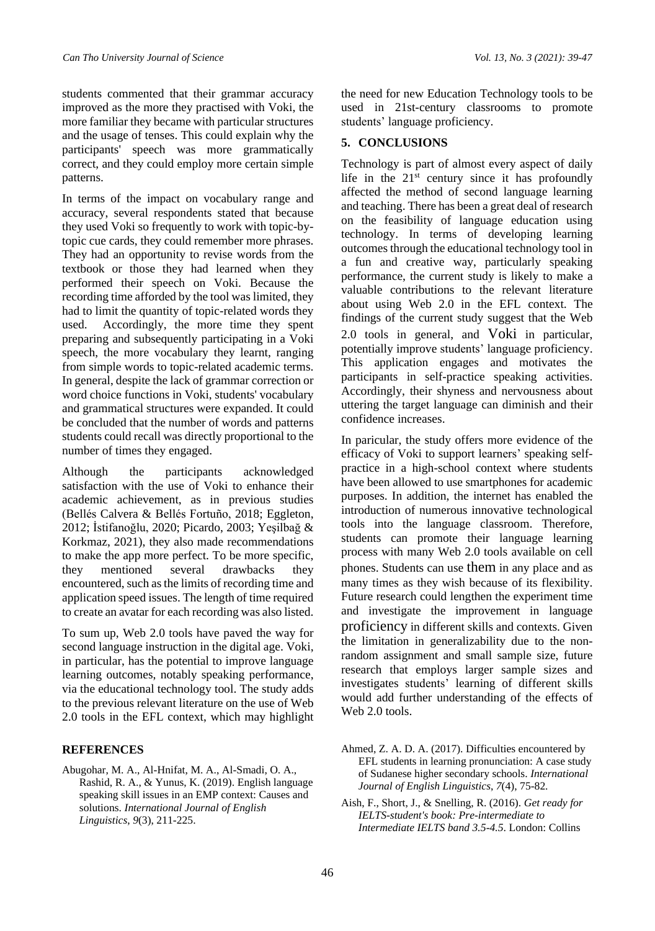students commented that their grammar accuracy improved as the more they practised with Voki, the more familiar they became with particular structures and the usage of tenses. This could explain why the participants' speech was more grammatically correct, and they could employ more certain simple patterns.

In terms of the impact on vocabulary range and accuracy, several respondents stated that because they used Voki so frequently to work with topic-bytopic cue cards, they could remember more phrases. They had an opportunity to revise words from the textbook or those they had learned when they performed their speech on Voki. Because the recording time afforded by the tool was limited, they had to limit the quantity of topic-related words they used. Accordingly, the more time they spent preparing and subsequently participating in a Voki speech, the more vocabulary they learnt, ranging from simple words to topic-related academic terms. In general, despite the lack of grammar correction or word choice functions in Voki, students' vocabulary and grammatical structures were expanded. It could be concluded that the number of words and patterns students could recall was directly proportional to the number of times they engaged.

Although the participants acknowledged satisfaction with the use of Voki to enhance their academic achievement, as in previous studies (Bellés Calvera & Bellés Fortuño, 2018; Eggleton, 2012; İstifanoğlu, 2020; Picardo, 2003; Yeşilbağ & Korkmaz, 2021), they also made recommendations to make the app more perfect. To be more specific, they mentioned several drawbacks they encountered, such as the limits of recording time and application speed issues. The length of time required to create an avatar for each recording was also listed.

To sum up, Web 2.0 tools have paved the way for second language instruction in the digital age. Voki, in particular, has the potential to improve language learning outcomes, notably speaking performance, via the educational technology tool. The study adds to the previous relevant literature on the use of Web 2.0 tools in the EFL context, which may highlight

#### **REFERENCES**

Abugohar, M. A., Al-Hnifat, M. A., Al-Smadi, O. A., Rashid, R. A., & Yunus, K. (2019). English language speaking skill issues in an EMP context: Causes and solutions. *International Journal of English Linguistics*, *9*(3), 211-225.

the need for new Education Technology tools to be used in 21st-century classrooms to promote students' language proficiency.

#### **5. CONCLUSIONS**

Technology is part of almost every aspect of daily life in the  $21<sup>st</sup>$  century since it has profoundly affected the method of second language learning and teaching. There has been a great deal of research on the feasibility of language education using technology. In terms of developing learning outcomes through the educational technology tool in a fun and creative way, particularly speaking performance, the current study is likely to make a valuable contributions to the relevant literature about using Web 2.0 in the EFL context. The findings of the current study suggest that the Web 2.0 tools in general, and Voki in particular, potentially improve students' language proficiency. This application engages and motivates the participants in self-practice speaking activities. Accordingly, their shyness and nervousness about uttering the target language can diminish and their confidence increases.

In paricular, the study offers more evidence of the efficacy of Voki to support learners' speaking selfpractice in a high-school context where students have been allowed to use smartphones for academic purposes. In addition, the internet has enabled the introduction of numerous innovative technological tools into the language classroom. Therefore, students can promote their language learning process with many Web 2.0 tools available on cell phones. Students can use them in any place and as many times as they wish because of its flexibility. Future research could lengthen the experiment time and investigate the improvement in language proficiency in different skills and contexts. Given the limitation in generalizability due to the nonrandom assignment and small sample size, future research that employs larger sample sizes and investigates students' learning of different skills would add further understanding of the effects of Web 2.0 tools.

Ahmed, Z. A. D. A. (2017). Difficulties encountered by EFL students in learning pronunciation: A case study of Sudanese higher secondary schools. *International Journal of English Linguistics*, *7*(4), 75-82.

Aish, F., Short, J., & Snelling, R. (2016). *Get ready for IELTS-student's book: Pre-intermediate to Intermediate IELTS band 3.5-4.5*. London: Collins